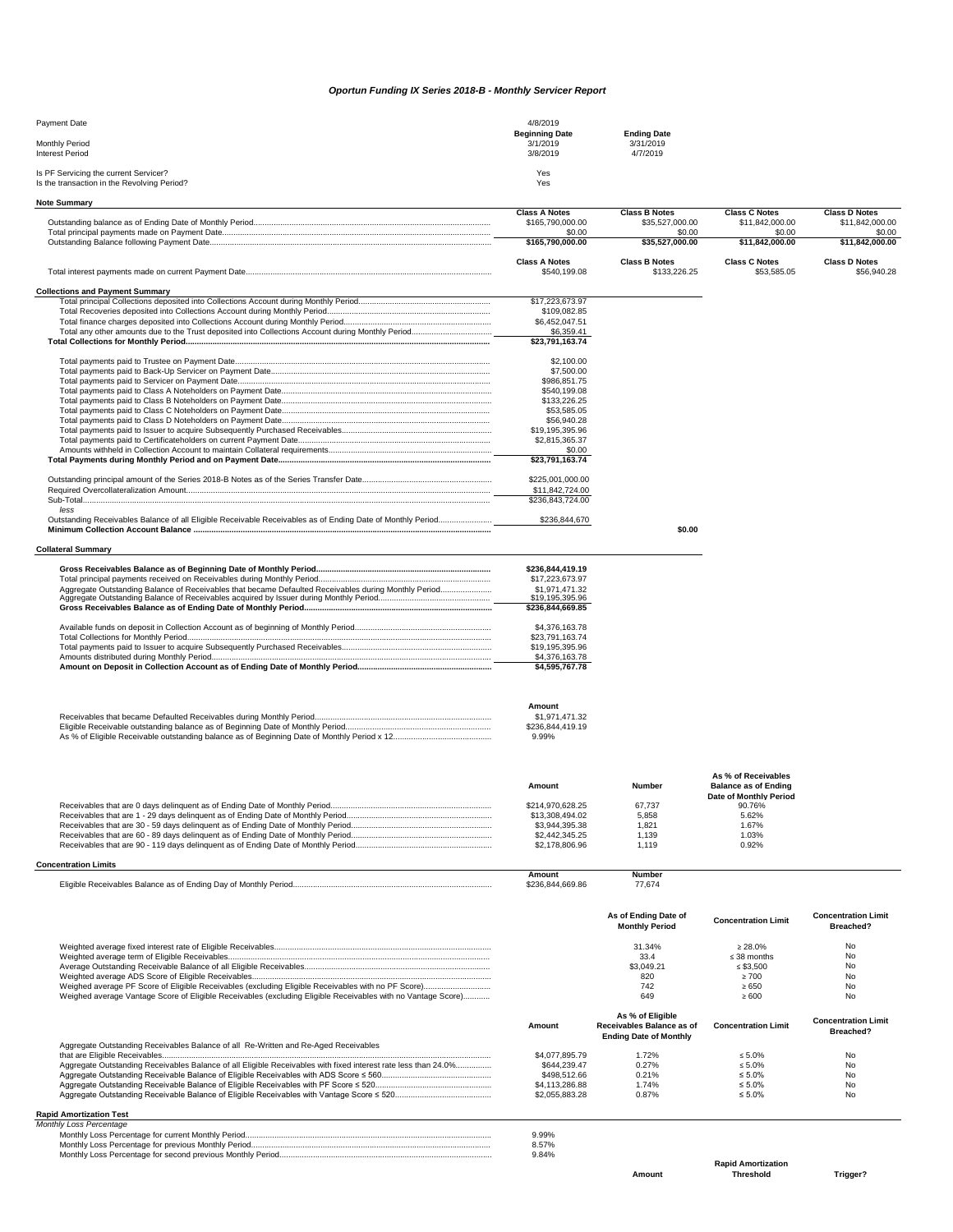## *Oportun Funding IX Series 2018-B - Monthly Servicer Report*

| Payment Date                                                                         | 4/8/2019<br><b>Beginning Date</b> | <b>Ending Date</b> |  |
|--------------------------------------------------------------------------------------|-----------------------------------|--------------------|--|
| Monthly Period                                                                       | 3/1/2019                          | 3/31/2019          |  |
| <b>Interest Period</b>                                                               | 3/8/2019                          | 4/7/2019           |  |
| Is PF Servicing the current Servicer?<br>Is the transaction in the Revolving Period? | Yes<br>Yes                        |                    |  |

| <b>Note Summary</b>                                                                                            |                                          |                                               |                                                    |                                         |
|----------------------------------------------------------------------------------------------------------------|------------------------------------------|-----------------------------------------------|----------------------------------------------------|-----------------------------------------|
|                                                                                                                | <b>Class A Notes</b><br>\$165,790,000.00 | <b>Class B Notes</b><br>\$35,527,000.00       | <b>Class C Notes</b><br>\$11,842,000.00            | <b>Class D Notes</b><br>\$11,842,000.00 |
|                                                                                                                | \$0.00<br>\$165,790,000.00               | \$0.00                                        | \$0.00<br>\$11,842,000.00                          | \$0.00<br>\$11,842,000.00               |
|                                                                                                                |                                          | \$35,527,000.00                               |                                                    |                                         |
|                                                                                                                | <b>Class A Notes</b><br>\$540,199.08     | <b>Class B Notes</b><br>\$133,226.25          | <b>Class C Notes</b><br>\$53,585.05                | <b>Class D Notes</b><br>\$56,940.28     |
| <b>Collections and Payment Summary</b>                                                                         |                                          |                                               |                                                    |                                         |
|                                                                                                                | \$17,223,673.97<br>\$109,082.85          |                                               |                                                    |                                         |
|                                                                                                                | \$6,452,047.51                           |                                               |                                                    |                                         |
|                                                                                                                | \$6,359.41<br>\$23,791,163.74            |                                               |                                                    |                                         |
|                                                                                                                | \$2,100.00                               |                                               |                                                    |                                         |
|                                                                                                                | \$7,500.00                               |                                               |                                                    |                                         |
|                                                                                                                | \$986,851.75<br>\$540,199.08             |                                               |                                                    |                                         |
|                                                                                                                | \$133,226.25                             |                                               |                                                    |                                         |
|                                                                                                                | \$53,585.05                              |                                               |                                                    |                                         |
|                                                                                                                | \$56,940.28<br>\$19,195,395.96           |                                               |                                                    |                                         |
|                                                                                                                | \$2,815,365.37                           |                                               |                                                    |                                         |
|                                                                                                                | \$0.00                                   |                                               |                                                    |                                         |
|                                                                                                                | \$23,791,163.74                          |                                               |                                                    |                                         |
|                                                                                                                | \$225,001,000.00                         |                                               |                                                    |                                         |
|                                                                                                                | \$11,842,724.00                          |                                               |                                                    |                                         |
| less                                                                                                           | \$236,843,724.00                         |                                               |                                                    |                                         |
|                                                                                                                | \$236,844,670                            |                                               |                                                    |                                         |
|                                                                                                                |                                          | \$0.00                                        |                                                    |                                         |
| <b>Collateral Summary</b>                                                                                      |                                          |                                               |                                                    |                                         |
|                                                                                                                | \$236,844,419.19                         |                                               |                                                    |                                         |
|                                                                                                                | \$17,223,673.97                          |                                               |                                                    |                                         |
|                                                                                                                | \$1.971.471.32<br>\$19,195,395.96        |                                               |                                                    |                                         |
|                                                                                                                | \$236,844,669.85                         |                                               |                                                    |                                         |
|                                                                                                                | \$4,376,163.78                           |                                               |                                                    |                                         |
|                                                                                                                | \$23,791,163.74                          |                                               |                                                    |                                         |
|                                                                                                                | \$19,195,395.96<br>\$4,376,163.78        |                                               |                                                    |                                         |
|                                                                                                                | \$4,595,767.78                           |                                               |                                                    |                                         |
|                                                                                                                |                                          |                                               |                                                    |                                         |
|                                                                                                                | Amount                                   |                                               |                                                    |                                         |
|                                                                                                                | \$1,971,471.32                           |                                               |                                                    |                                         |
|                                                                                                                | \$236,844,419.19                         |                                               |                                                    |                                         |
|                                                                                                                | 9.99%                                    |                                               |                                                    |                                         |
|                                                                                                                |                                          |                                               |                                                    |                                         |
|                                                                                                                | Amount                                   | <b>Number</b>                                 | As % of Receivables<br><b>Balance as of Ending</b> |                                         |
|                                                                                                                |                                          |                                               | Date of Monthly Period                             |                                         |
|                                                                                                                | \$214.970.628.25<br>\$13,308,494.02      | 67,737<br>5,858                               | 90.76%<br>5.62%                                    |                                         |
|                                                                                                                | \$3,944,395.38                           | 1,821                                         | 1.67%                                              |                                         |
|                                                                                                                | \$2,442,345.25                           | 1,139                                         | 1.03%                                              |                                         |
|                                                                                                                | \$2,178,806.96                           | 1,119                                         | 0.92%                                              |                                         |
| <b>Concentration Limits</b>                                                                                    | Amount                                   | Number                                        |                                                    |                                         |
|                                                                                                                | \$236,844,669.86                         | 77,674                                        |                                                    |                                         |
|                                                                                                                |                                          | As of Ending Date of                          | <b>Concentration Limit</b>                         | <b>Concentration Limit</b>              |
|                                                                                                                |                                          | <b>Monthly Period</b>                         |                                                    | Breached?                               |
|                                                                                                                |                                          | 31.34%                                        | $\geq 28.0\%$                                      | No                                      |
|                                                                                                                |                                          | 33.4<br>\$3.049.21                            | $\leq$ 38 months<br>$\leq$ \$3,500                 | <b>No</b><br>No                         |
|                                                                                                                |                                          | 820                                           | $\geq 700$                                         | No                                      |
|                                                                                                                |                                          | 742                                           | $\geq 650$                                         | No                                      |
| Weighed average Vantage Score of Eligible Receivables (excluding Eligible Receivables with no Vantage Score)   |                                          | 649                                           | $\geq 600$                                         | No                                      |
|                                                                                                                | Amount                                   | As % of Eligible<br>Receivables Balance as of | <b>Concentration Limit</b>                         | <b>Concentration Limit</b><br>Breached? |
| Aggregate Outstanding Receivables Balance of all Re-Written and Re-Aged Receivables                            |                                          | <b>Ending Date of Monthly</b>                 |                                                    |                                         |
|                                                                                                                | \$4,077,895.79                           | 1.72%                                         | $\leq 5.0\%$                                       | No                                      |
| Aggregate Outstanding Receivables Balance of all Eligible Receivables with fixed interest rate less than 24.0% | \$644.239.47                             | 0.27%                                         | $\leq 5.0\%$                                       | No                                      |
|                                                                                                                | \$498,512.66<br>\$4,113,286.88           | 0.21%<br>1.74%                                | $\leq 5.0\%$<br>$\leq 5.0\%$                       | <b>No</b><br>No                         |
|                                                                                                                | \$2,055,883.28                           | 0.87%                                         | $\leq 5.0\%$                                       | No                                      |
| <b>Rapid Amortization Test</b>                                                                                 |                                          |                                               |                                                    |                                         |

|  | Rapiu Allioluzation Test |  |
|--|--------------------------|--|
|  | Manthly Long Persontage  |  |

| Monthly Loss Percentage |       |
|-------------------------|-------|
|                         | 9.99% |
|                         | 8.57% |
|                         | 9.84% |
|                         |       |

**Amount**